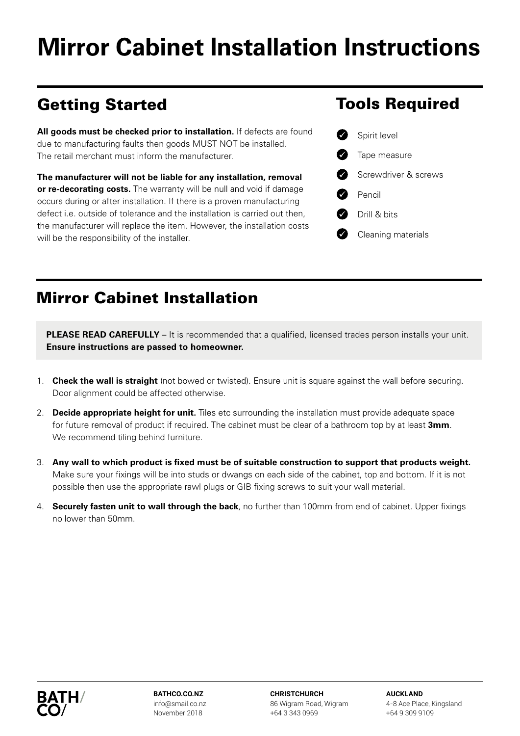# **Mirror Cabinet Installation Instructions**

## Getting Started

All goods must be checked prior to installation. If defects are found due to manufacturing faults then goods MUST NOT be installed. The retail merchant must inform the manufacturer.

**The manufacturer will not be liable for any installation, removal or re-decorating costs.** The warranty will be null and void if damage occurs during or after installation. If there is a proven manufacturing defect i.e. outside of tolerance and the installation is carried out then, the manufacturer will replace the item. However, the installation costs will be the responsibility of the installer.

#### Mirror Cabinet Installation

**PLEASE READ CAREFULLY** – It is recommended that a qualified, licensed trades person installs your unit. **Ensure instructions are passed to homeowner.**

- 1. **Check the wall is straight** (not bowed or twisted). Ensure unit is square against the wall before securing. Door alignment could be affected otherwise.
- 2. **Decide appropriate height for unit.** Tiles etc surrounding the installation must provide adequate space for future removal of product if required. The cabinet must be clear of a bathroom top by at least **3mm**. We recommend tiling behind furniture.
- 3. **Any wall to which product is fixed must be of suitable construction to support that products weight.** Make sure your fixings will be into studs or dwangs on each side of the cabinet, top and bottom. If it is not possible then use the appropriate rawl plugs or GIB fixing screws to suit your wall material.
- 4. **Securely fasten unit to wall through the back**, no further than 100mm from end of cabinet. Upper fixings no lower than 50mm.



**BATHCO.CO.NZ** info@smail.co.nz November 2018

**CHRISTCHURCH** 86 Wigram Road, Wigram +64 3 343 0969

**AUCKLAND**  4-8 Ace Place, Kingsland +64 9 309 9109

#### Tools Required